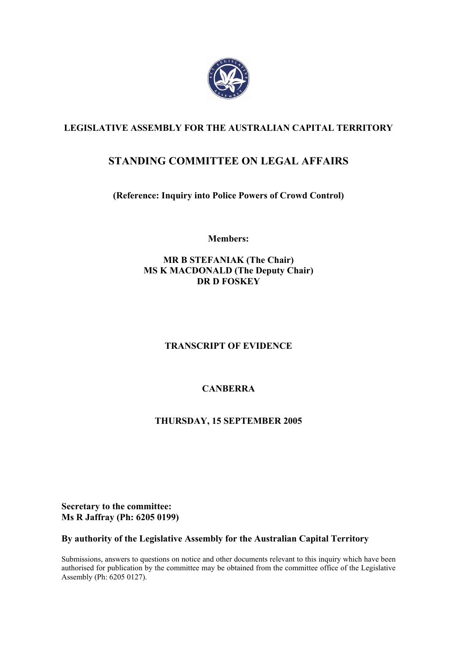

## **LEGISLATIVE ASSEMBLY FOR THE AUSTRALIAN CAPITAL TERRITORY**

# **STANDING COMMITTEE ON LEGAL AFFAIRS**

**(Reference: Inquiry into Police Powers of Crowd Control)** 

**Members:** 

**MR B STEFANIAK (The Chair) MS K MACDONALD (The Deputy Chair) DR D FOSKEY** 

## **TRANSCRIPT OF EVIDENCE**

## **CANBERRA**

## **THURSDAY, 15 SEPTEMBER 2005**

**Secretary to the committee: Ms R Jaffray (Ph: 6205 0199)** 

## **By authority of the Legislative Assembly for the Australian Capital Territory**

Submissions, answers to questions on notice and other documents relevant to this inquiry which have been authorised for publication by the committee may be obtained from the committee office of the Legislative Assembly (Ph: 6205 0127).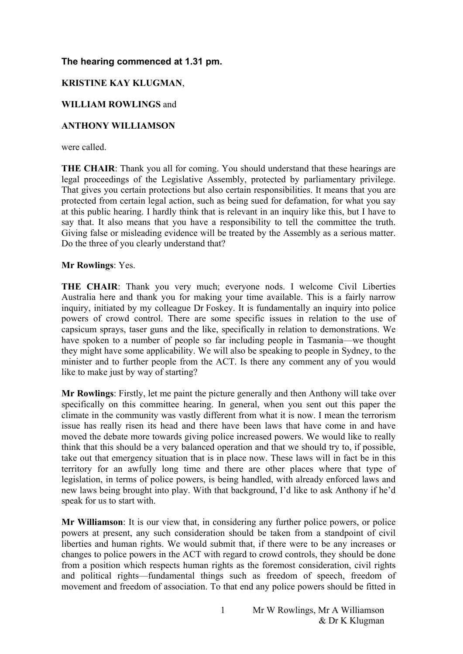## **The hearing commenced at 1.31 pm.**

### **KRISTINE KAY KLUGMAN**,

## **WILLIAM ROWLINGS** and

## **ANTHONY WILLIAMSON**

were called.

**THE CHAIR**: Thank you all for coming. You should understand that these hearings are legal proceedings of the Legislative Assembly, protected by parliamentary privilege. That gives you certain protections but also certain responsibilities. It means that you are protected from certain legal action, such as being sued for defamation, for what you say at this public hearing. I hardly think that is relevant in an inquiry like this, but I have to say that. It also means that you have a responsibility to tell the committee the truth. Giving false or misleading evidence will be treated by the Assembly as a serious matter. Do the three of you clearly understand that?

#### **Mr Rowlings**: Yes.

**THE CHAIR**: Thank you very much; everyone nods. I welcome Civil Liberties Australia here and thank you for making your time available. This is a fairly narrow inquiry, initiated by my colleague Dr Foskey. It is fundamentally an inquiry into police powers of crowd control. There are some specific issues in relation to the use of capsicum sprays, taser guns and the like, specifically in relation to demonstrations. We have spoken to a number of people so far including people in Tasmania—we thought they might have some applicability. We will also be speaking to people in Sydney, to the minister and to further people from the ACT. Is there any comment any of you would like to make just by way of starting?

**Mr Rowlings**: Firstly, let me paint the picture generally and then Anthony will take over specifically on this committee hearing. In general, when you sent out this paper the climate in the community was vastly different from what it is now. I mean the terrorism issue has really risen its head and there have been laws that have come in and have moved the debate more towards giving police increased powers. We would like to really think that this should be a very balanced operation and that we should try to, if possible, take out that emergency situation that is in place now. These laws will in fact be in this territory for an awfully long time and there are other places where that type of legislation, in terms of police powers, is being handled, with already enforced laws and new laws being brought into play. With that background, I'd like to ask Anthony if he'd speak for us to start with.

**Mr Williamson**: It is our view that, in considering any further police powers, or police powers at present, any such consideration should be taken from a standpoint of civil liberties and human rights. We would submit that, if there were to be any increases or changes to police powers in the ACT with regard to crowd controls, they should be done from a position which respects human rights as the foremost consideration, civil rights and political rights—fundamental things such as freedom of speech, freedom of movement and freedom of association. To that end any police powers should be fitted in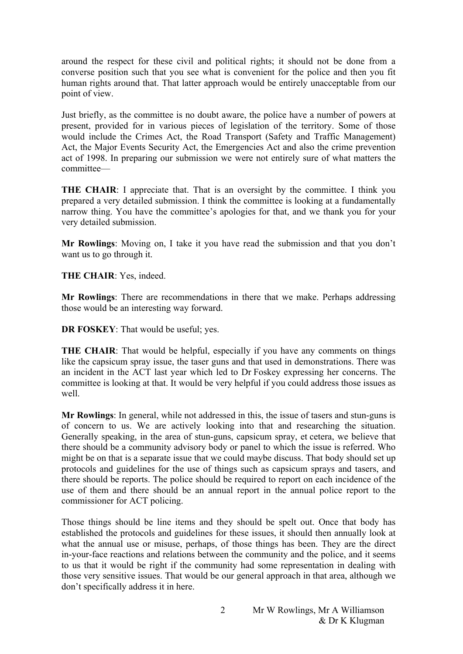around the respect for these civil and political rights; it should not be done from a converse position such that you see what is convenient for the police and then you fit human rights around that. That latter approach would be entirely unacceptable from our point of view.

Just briefly, as the committee is no doubt aware, the police have a number of powers at present, provided for in various pieces of legislation of the territory. Some of those would include the Crimes Act, the Road Transport (Safety and Traffic Management) Act, the Major Events Security Act, the Emergencies Act and also the crime prevention act of 1998. In preparing our submission we were not entirely sure of what matters the committee—

**THE CHAIR**: I appreciate that. That is an oversight by the committee. I think you prepared a very detailed submission. I think the committee is looking at a fundamentally narrow thing. You have the committee's apologies for that, and we thank you for your very detailed submission.

**Mr Rowlings**: Moving on, I take it you have read the submission and that you don't want us to go through it.

**THE CHAIR**: Yes, indeed.

**Mr Rowlings**: There are recommendations in there that we make. Perhaps addressing those would be an interesting way forward.

**DR FOSKEY**: That would be useful; yes.

**THE CHAIR:** That would be helpful, especially if you have any comments on things like the capsicum spray issue, the taser guns and that used in demonstrations. There was an incident in the ACT last year which led to Dr Foskey expressing her concerns. The committee is looking at that. It would be very helpful if you could address those issues as well.

**Mr Rowlings**: In general, while not addressed in this, the issue of tasers and stun-guns is of concern to us. We are actively looking into that and researching the situation. Generally speaking, in the area of stun-guns, capsicum spray, et cetera, we believe that there should be a community advisory body or panel to which the issue is referred. Who might be on that is a separate issue that we could maybe discuss. That body should set up protocols and guidelines for the use of things such as capsicum sprays and tasers, and there should be reports. The police should be required to report on each incidence of the use of them and there should be an annual report in the annual police report to the commissioner for ACT policing.

Those things should be line items and they should be spelt out. Once that body has established the protocols and guidelines for these issues, it should then annually look at what the annual use or misuse, perhaps, of those things has been. They are the direct in-your-face reactions and relations between the community and the police, and it seems to us that it would be right if the community had some representation in dealing with those very sensitive issues. That would be our general approach in that area, although we don't specifically address it in here.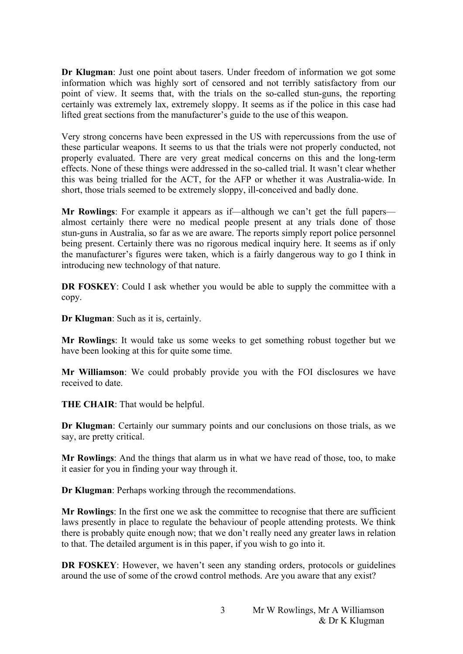**Dr Klugman**: Just one point about tasers. Under freedom of information we got some information which was highly sort of censored and not terribly satisfactory from our point of view. It seems that, with the trials on the so-called stun-guns, the reporting certainly was extremely lax, extremely sloppy. It seems as if the police in this case had lifted great sections from the manufacturer's guide to the use of this weapon.

Very strong concerns have been expressed in the US with repercussions from the use of these particular weapons. It seems to us that the trials were not properly conducted, not properly evaluated. There are very great medical concerns on this and the long-term effects. None of these things were addressed in the so-called trial. It wasn't clear whether this was being trialled for the ACT, for the AFP or whether it was Australia-wide. In short, those trials seemed to be extremely sloppy, ill-conceived and badly done.

**Mr Rowlings**: For example it appears as if—although we can't get the full papers almost certainly there were no medical people present at any trials done of those stun-guns in Australia, so far as we are aware. The reports simply report police personnel being present. Certainly there was no rigorous medical inquiry here. It seems as if only the manufacturer's figures were taken, which is a fairly dangerous way to go I think in introducing new technology of that nature.

**DR FOSKEY**: Could I ask whether you would be able to supply the committee with a copy.

**Dr Klugman**: Such as it is, certainly.

**Mr Rowlings**: It would take us some weeks to get something robust together but we have been looking at this for quite some time.

**Mr Williamson**: We could probably provide you with the FOI disclosures we have received to date.

**THE CHAIR**: That would be helpful.

**Dr Klugman**: Certainly our summary points and our conclusions on those trials, as we say, are pretty critical.

**Mr Rowlings**: And the things that alarm us in what we have read of those, too, to make it easier for you in finding your way through it.

**Dr Klugman**: Perhaps working through the recommendations.

**Mr Rowlings**: In the first one we ask the committee to recognise that there are sufficient laws presently in place to regulate the behaviour of people attending protests. We think there is probably quite enough now; that we don't really need any greater laws in relation to that. The detailed argument is in this paper, if you wish to go into it.

**DR FOSKEY**: However, we haven't seen any standing orders, protocols or guidelines around the use of some of the crowd control methods. Are you aware that any exist?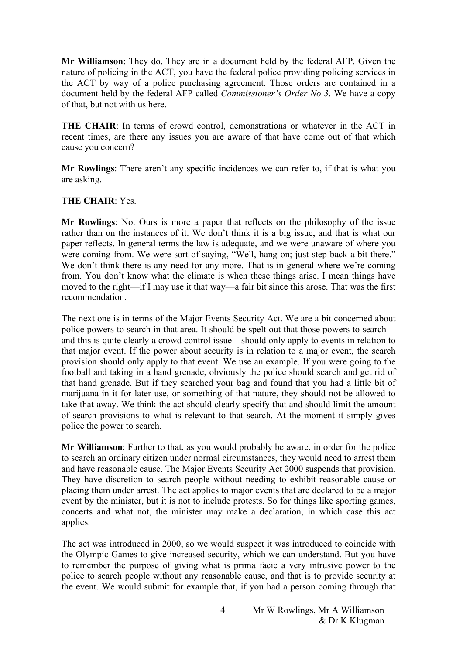**Mr Williamson**: They do. They are in a document held by the federal AFP. Given the nature of policing in the ACT, you have the federal police providing policing services in the ACT by way of a police purchasing agreement. Those orders are contained in a document held by the federal AFP called *Commissioner's Order No 3*. We have a copy of that, but not with us here.

**THE CHAIR**: In terms of crowd control, demonstrations or whatever in the ACT in recent times, are there any issues you are aware of that have come out of that which cause you concern?

**Mr Rowlings**: There aren't any specific incidences we can refer to, if that is what you are asking.

#### **THE CHAIR**: Yes.

**Mr Rowlings**: No. Ours is more a paper that reflects on the philosophy of the issue rather than on the instances of it. We don't think it is a big issue, and that is what our paper reflects. In general terms the law is adequate, and we were unaware of where you were coming from. We were sort of saying, "Well, hang on; just step back a bit there." We don't think there is any need for any more. That is in general where we're coming from. You don't know what the climate is when these things arise. I mean things have moved to the right—if I may use it that way—a fair bit since this arose. That was the first recommendation.

The next one is in terms of the Major Events Security Act. We are a bit concerned about police powers to search in that area. It should be spelt out that those powers to search and this is quite clearly a crowd control issue—should only apply to events in relation to that major event. If the power about security is in relation to a major event, the search provision should only apply to that event. We use an example. If you were going to the football and taking in a hand grenade, obviously the police should search and get rid of that hand grenade. But if they searched your bag and found that you had a little bit of marijuana in it for later use, or something of that nature, they should not be allowed to take that away. We think the act should clearly specify that and should limit the amount of search provisions to what is relevant to that search. At the moment it simply gives police the power to search.

**Mr Williamson**: Further to that, as you would probably be aware, in order for the police to search an ordinary citizen under normal circumstances, they would need to arrest them and have reasonable cause. The Major Events Security Act 2000 suspends that provision. They have discretion to search people without needing to exhibit reasonable cause or placing them under arrest. The act applies to major events that are declared to be a major event by the minister, but it is not to include protests. So for things like sporting games, concerts and what not, the minister may make a declaration, in which case this act applies.

The act was introduced in 2000, so we would suspect it was introduced to coincide with the Olympic Games to give increased security, which we can understand. But you have to remember the purpose of giving what is prima facie a very intrusive power to the police to search people without any reasonable cause, and that is to provide security at the event. We would submit for example that, if you had a person coming through that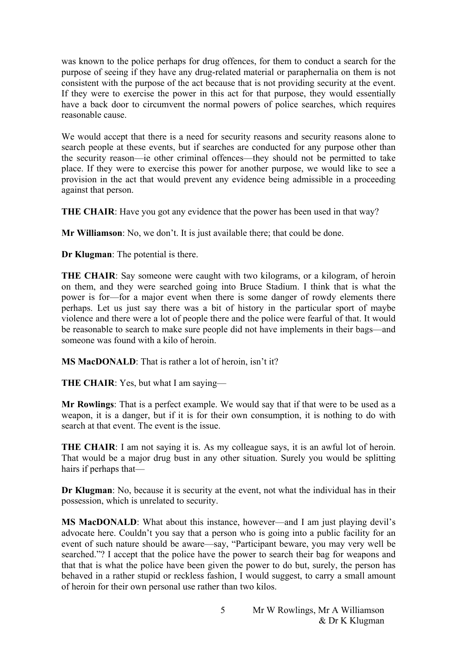was known to the police perhaps for drug offences, for them to conduct a search for the purpose of seeing if they have any drug-related material or paraphernalia on them is not consistent with the purpose of the act because that is not providing security at the event. If they were to exercise the power in this act for that purpose, they would essentially have a back door to circumvent the normal powers of police searches, which requires reasonable cause.

We would accept that there is a need for security reasons and security reasons alone to search people at these events, but if searches are conducted for any purpose other than the security reason—ie other criminal offences—they should not be permitted to take place. If they were to exercise this power for another purpose, we would like to see a provision in the act that would prevent any evidence being admissible in a proceeding against that person.

**THE CHAIR:** Have you got any evidence that the power has been used in that way?

**Mr Williamson**: No, we don't. It is just available there; that could be done.

**Dr Klugman**: The potential is there.

**THE CHAIR:** Say someone were caught with two kilograms, or a kilogram, of heroin on them, and they were searched going into Bruce Stadium. I think that is what the power is for—for a major event when there is some danger of rowdy elements there perhaps. Let us just say there was a bit of history in the particular sport of maybe violence and there were a lot of people there and the police were fearful of that. It would be reasonable to search to make sure people did not have implements in their bags—and someone was found with a kilo of heroin.

**MS MacDONALD**: That is rather a lot of heroin, isn't it?

**THE CHAIR**: Yes, but what I am saying—

**Mr Rowlings**: That is a perfect example. We would say that if that were to be used as a weapon, it is a danger, but if it is for their own consumption, it is nothing to do with search at that event. The event is the issue.

**THE CHAIR:** I am not saying it is. As my colleague says, it is an awful lot of heroin. That would be a major drug bust in any other situation. Surely you would be splitting hairs if perhaps that—

**Dr Klugman**: No, because it is security at the event, not what the individual has in their possession, which is unrelated to security.

**MS MacDONALD**: What about this instance, however—and I am just playing devil's advocate here. Couldn't you say that a person who is going into a public facility for an event of such nature should be aware—say, "Participant beware, you may very well be searched."? I accept that the police have the power to search their bag for weapons and that that is what the police have been given the power to do but, surely, the person has behaved in a rather stupid or reckless fashion, I would suggest, to carry a small amount of heroin for their own personal use rather than two kilos.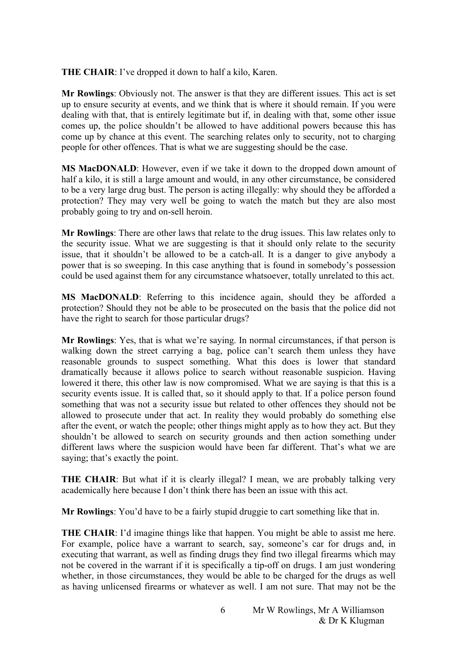**THE CHAIR**: I've dropped it down to half a kilo, Karen.

**Mr Rowlings**: Obviously not. The answer is that they are different issues. This act is set up to ensure security at events, and we think that is where it should remain. If you were dealing with that, that is entirely legitimate but if, in dealing with that, some other issue comes up, the police shouldn't be allowed to have additional powers because this has come up by chance at this event. The searching relates only to security, not to charging people for other offences. That is what we are suggesting should be the case.

**MS MacDONALD**: However, even if we take it down to the dropped down amount of half a kilo, it is still a large amount and would, in any other circumstance, be considered to be a very large drug bust. The person is acting illegally: why should they be afforded a protection? They may very well be going to watch the match but they are also most probably going to try and on-sell heroin.

**Mr Rowlings**: There are other laws that relate to the drug issues. This law relates only to the security issue. What we are suggesting is that it should only relate to the security issue, that it shouldn't be allowed to be a catch-all. It is a danger to give anybody a power that is so sweeping. In this case anything that is found in somebody's possession could be used against them for any circumstance whatsoever, totally unrelated to this act.

**MS MacDONALD**: Referring to this incidence again, should they be afforded a protection? Should they not be able to be prosecuted on the basis that the police did not have the right to search for those particular drugs?

**Mr Rowlings**: Yes, that is what we're saying. In normal circumstances, if that person is walking down the street carrying a bag, police can't search them unless they have reasonable grounds to suspect something. What this does is lower that standard dramatically because it allows police to search without reasonable suspicion. Having lowered it there, this other law is now compromised. What we are saying is that this is a security events issue. It is called that, so it should apply to that. If a police person found something that was not a security issue but related to other offences they should not be allowed to prosecute under that act. In reality they would probably do something else after the event, or watch the people; other things might apply as to how they act. But they shouldn't be allowed to search on security grounds and then action something under different laws where the suspicion would have been far different. That's what we are saying; that's exactly the point.

**THE CHAIR:** But what if it is clearly illegal? I mean, we are probably talking very academically here because I don't think there has been an issue with this act.

**Mr Rowlings**: You'd have to be a fairly stupid druggie to cart something like that in.

**THE CHAIR:** I'd imagine things like that happen. You might be able to assist me here. For example, police have a warrant to search, say, someone's car for drugs and, in executing that warrant, as well as finding drugs they find two illegal firearms which may not be covered in the warrant if it is specifically a tip-off on drugs. I am just wondering whether, in those circumstances, they would be able to be charged for the drugs as well as having unlicensed firearms or whatever as well. I am not sure. That may not be the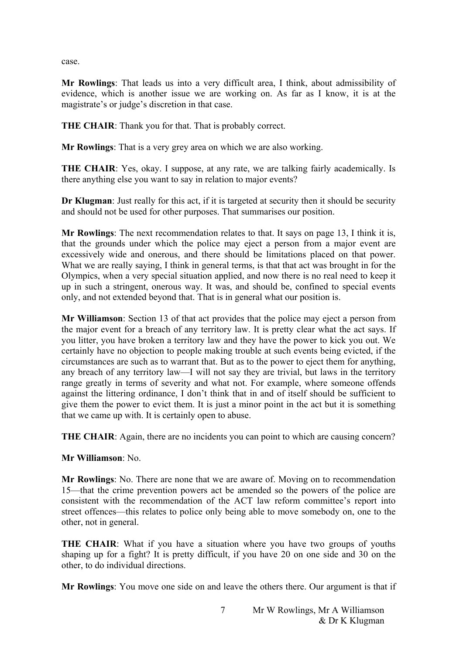case.

**Mr Rowlings**: That leads us into a very difficult area, I think, about admissibility of evidence, which is another issue we are working on. As far as I know, it is at the magistrate's or judge's discretion in that case.

**THE CHAIR:** Thank you for that. That is probably correct.

**Mr Rowlings**: That is a very grey area on which we are also working.

**THE CHAIR:** Yes, okay. I suppose, at any rate, we are talking fairly academically. Is there anything else you want to say in relation to major events?

**Dr Klugman**: Just really for this act, if it is targeted at security then it should be security and should not be used for other purposes. That summarises our position.

**Mr Rowlings**: The next recommendation relates to that. It says on page 13, I think it is, that the grounds under which the police may eject a person from a major event are excessively wide and onerous, and there should be limitations placed on that power. What we are really saying, I think in general terms, is that that act was brought in for the Olympics, when a very special situation applied, and now there is no real need to keep it up in such a stringent, onerous way. It was, and should be, confined to special events only, and not extended beyond that. That is in general what our position is.

**Mr Williamson**: Section 13 of that act provides that the police may eject a person from the major event for a breach of any territory law. It is pretty clear what the act says. If you litter, you have broken a territory law and they have the power to kick you out. We certainly have no objection to people making trouble at such events being evicted, if the circumstances are such as to warrant that. But as to the power to eject them for anything, any breach of any territory law—I will not say they are trivial, but laws in the territory range greatly in terms of severity and what not. For example, where someone offends against the littering ordinance, I don't think that in and of itself should be sufficient to give them the power to evict them. It is just a minor point in the act but it is something that we came up with. It is certainly open to abuse.

**THE CHAIR:** Again, there are no incidents you can point to which are causing concern?

**Mr Williamson**: No.

**Mr Rowlings**: No. There are none that we are aware of. Moving on to recommendation 15—that the crime prevention powers act be amended so the powers of the police are consistent with the recommendation of the ACT law reform committee's report into street offences—this relates to police only being able to move somebody on, one to the other, not in general.

**THE CHAIR:** What if you have a situation where you have two groups of youths shaping up for a fight? It is pretty difficult, if you have 20 on one side and 30 on the other, to do individual directions.

**Mr Rowlings**: You move one side on and leave the others there. Our argument is that if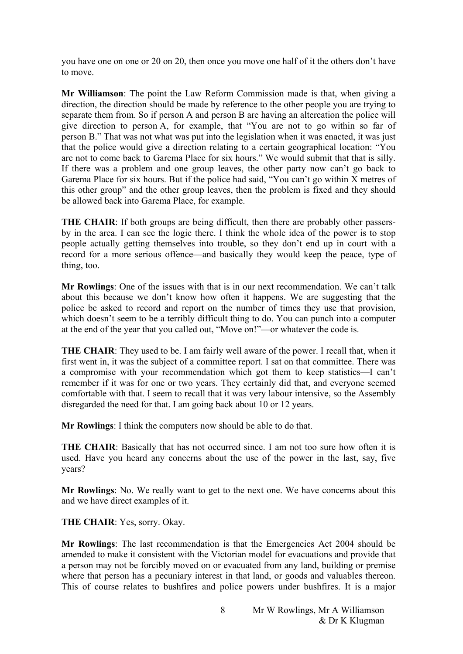you have one on one or 20 on 20, then once you move one half of it the others don't have to move.

**Mr Williamson**: The point the Law Reform Commission made is that, when giving a direction, the direction should be made by reference to the other people you are trying to separate them from. So if person A and person B are having an altercation the police will give direction to person A, for example, that "You are not to go within so far of person B." That was not what was put into the legislation when it was enacted, it was just that the police would give a direction relating to a certain geographical location: "You are not to come back to Garema Place for six hours." We would submit that that is silly. If there was a problem and one group leaves, the other party now can't go back to Garema Place for six hours. But if the police had said, "You can't go within  $\bar{X}$  metres of this other group" and the other group leaves, then the problem is fixed and they should be allowed back into Garema Place, for example.

**THE CHAIR:** If both groups are being difficult, then there are probably other passersby in the area. I can see the logic there. I think the whole idea of the power is to stop people actually getting themselves into trouble, so they don't end up in court with a record for a more serious offence—and basically they would keep the peace, type of thing, too.

**Mr Rowlings**: One of the issues with that is in our next recommendation. We can't talk about this because we don't know how often it happens. We are suggesting that the police be asked to record and report on the number of times they use that provision, which doesn't seem to be a terribly difficult thing to do. You can punch into a computer at the end of the year that you called out, "Move on!"—or whatever the code is.

**THE CHAIR**: They used to be. I am fairly well aware of the power. I recall that, when it first went in, it was the subject of a committee report. I sat on that committee. There was a compromise with your recommendation which got them to keep statistics—I can't remember if it was for one or two years. They certainly did that, and everyone seemed comfortable with that. I seem to recall that it was very labour intensive, so the Assembly disregarded the need for that. I am going back about 10 or 12 years.

**Mr Rowlings**: I think the computers now should be able to do that.

**THE CHAIR**: Basically that has not occurred since. I am not too sure how often it is used. Have you heard any concerns about the use of the power in the last, say, five years?

**Mr Rowlings**: No. We really want to get to the next one. We have concerns about this and we have direct examples of it.

**THE CHAIR**: Yes, sorry. Okay.

**Mr Rowlings**: The last recommendation is that the Emergencies Act 2004 should be amended to make it consistent with the Victorian model for evacuations and provide that a person may not be forcibly moved on or evacuated from any land, building or premise where that person has a pecuniary interest in that land, or goods and valuables thereon. This of course relates to bushfires and police powers under bushfires. It is a major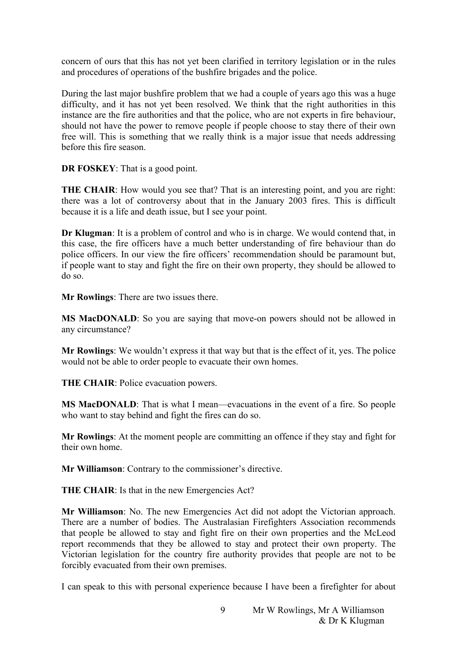concern of ours that this has not yet been clarified in territory legislation or in the rules and procedures of operations of the bushfire brigades and the police.

During the last major bushfire problem that we had a couple of years ago this was a huge difficulty, and it has not yet been resolved. We think that the right authorities in this instance are the fire authorities and that the police, who are not experts in fire behaviour, should not have the power to remove people if people choose to stay there of their own free will. This is something that we really think is a major issue that needs addressing before this fire season.

**DR FOSKEY**: That is a good point.

**THE CHAIR**: How would you see that? That is an interesting point, and you are right: there was a lot of controversy about that in the January 2003 fires. This is difficult because it is a life and death issue, but I see your point.

**Dr Klugman**: It is a problem of control and who is in charge. We would contend that, in this case, the fire officers have a much better understanding of fire behaviour than do police officers. In our view the fire officers' recommendation should be paramount but, if people want to stay and fight the fire on their own property, they should be allowed to do so.

**Mr Rowlings**: There are two issues there.

**MS MacDONALD**: So you are saying that move-on powers should not be allowed in any circumstance?

**Mr Rowlings**: We wouldn't express it that way but that is the effect of it, yes. The police would not be able to order people to evacuate their own homes.

**THE CHAIR**: Police evacuation powers.

**MS MacDONALD**: That is what I mean—evacuations in the event of a fire. So people who want to stay behind and fight the fires can do so.

**Mr Rowlings**: At the moment people are committing an offence if they stay and fight for their own home.

**Mr Williamson**: Contrary to the commissioner's directive.

**THE CHAIR:** Is that in the new Emergencies Act?

**Mr Williamson**: No. The new Emergencies Act did not adopt the Victorian approach. There are a number of bodies. The Australasian Firefighters Association recommends that people be allowed to stay and fight fire on their own properties and the McLeod report recommends that they be allowed to stay and protect their own property. The Victorian legislation for the country fire authority provides that people are not to be forcibly evacuated from their own premises.

I can speak to this with personal experience because I have been a firefighter for about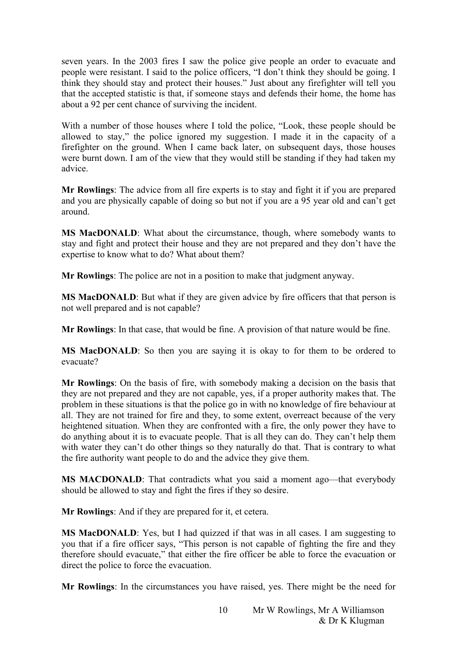seven years. In the 2003 fires I saw the police give people an order to evacuate and people were resistant. I said to the police officers, "I don't think they should be going. I think they should stay and protect their houses." Just about any firefighter will tell you that the accepted statistic is that, if someone stays and defends their home, the home has about a 92 per cent chance of surviving the incident.

With a number of those houses where I told the police, "Look, these people should be allowed to stay," the police ignored my suggestion. I made it in the capacity of a firefighter on the ground. When I came back later, on subsequent days, those houses were burnt down. I am of the view that they would still be standing if they had taken my advice.

**Mr Rowlings**: The advice from all fire experts is to stay and fight it if you are prepared and you are physically capable of doing so but not if you are a 95 year old and can't get around.

**MS MacDONALD**: What about the circumstance, though, where somebody wants to stay and fight and protect their house and they are not prepared and they don't have the expertise to know what to do? What about them?

**Mr Rowlings**: The police are not in a position to make that judgment anyway.

**MS MacDONALD**: But what if they are given advice by fire officers that that person is not well prepared and is not capable?

**Mr Rowlings**: In that case, that would be fine. A provision of that nature would be fine.

**MS MacDONALD**: So then you are saying it is okay to for them to be ordered to evacuate?

**Mr Rowlings**: On the basis of fire, with somebody making a decision on the basis that they are not prepared and they are not capable, yes, if a proper authority makes that. The problem in these situations is that the police go in with no knowledge of fire behaviour at all. They are not trained for fire and they, to some extent, overreact because of the very heightened situation. When they are confronted with a fire, the only power they have to do anything about it is to evacuate people. That is all they can do. They can't help them with water they can't do other things so they naturally do that. That is contrary to what the fire authority want people to do and the advice they give them.

**MS MACDONALD**: That contradicts what you said a moment ago—that everybody should be allowed to stay and fight the fires if they so desire.

**Mr Rowlings**: And if they are prepared for it, et cetera.

**MS MacDONALD**: Yes, but I had quizzed if that was in all cases. I am suggesting to you that if a fire officer says, "This person is not capable of fighting the fire and they therefore should evacuate," that either the fire officer be able to force the evacuation or direct the police to force the evacuation.

**Mr Rowlings**: In the circumstances you have raised, yes. There might be the need for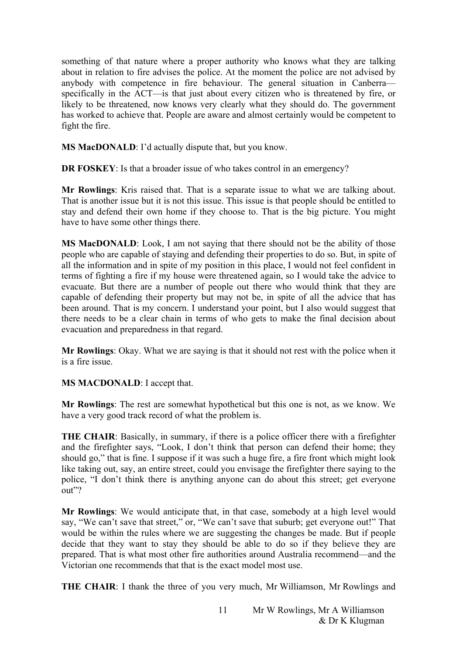something of that nature where a proper authority who knows what they are talking about in relation to fire advises the police. At the moment the police are not advised by anybody with competence in fire behaviour. The general situation in Canberra specifically in the ACT—is that just about every citizen who is threatened by fire, or likely to be threatened, now knows very clearly what they should do. The government has worked to achieve that. People are aware and almost certainly would be competent to fight the fire.

**MS MacDONALD**: I'd actually dispute that, but you know.

**DR FOSKEY**: Is that a broader issue of who takes control in an emergency?

**Mr Rowlings**: Kris raised that. That is a separate issue to what we are talking about. That is another issue but it is not this issue. This issue is that people should be entitled to stay and defend their own home if they choose to. That is the big picture. You might have to have some other things there.

**MS MacDONALD**: Look, I am not saying that there should not be the ability of those people who are capable of staying and defending their properties to do so. But, in spite of all the information and in spite of my position in this place, I would not feel confident in terms of fighting a fire if my house were threatened again, so I would take the advice to evacuate. But there are a number of people out there who would think that they are capable of defending their property but may not be, in spite of all the advice that has been around. That is my concern. I understand your point, but I also would suggest that there needs to be a clear chain in terms of who gets to make the final decision about evacuation and preparedness in that regard.

**Mr Rowlings**: Okay. What we are saying is that it should not rest with the police when it is a fire issue.

**MS MACDONALD**: I accept that.

**Mr Rowlings**: The rest are somewhat hypothetical but this one is not, as we know. We have a very good track record of what the problem is.

**THE CHAIR**: Basically, in summary, if there is a police officer there with a firefighter and the firefighter says, "Look, I don't think that person can defend their home; they should go," that is fine. I suppose if it was such a huge fire, a fire front which might look like taking out, say, an entire street, could you envisage the firefighter there saying to the police, "I don't think there is anything anyone can do about this street; get everyone out"?

**Mr Rowlings**: We would anticipate that, in that case, somebody at a high level would say, "We can't save that street," or, "We can't save that suburb; get everyone out!" That would be within the rules where we are suggesting the changes be made. But if people decide that they want to stay they should be able to do so if they believe they are prepared. That is what most other fire authorities around Australia recommend—and the Victorian one recommends that that is the exact model most use.

**THE CHAIR**: I thank the three of you very much, Mr Williamson, Mr Rowlings and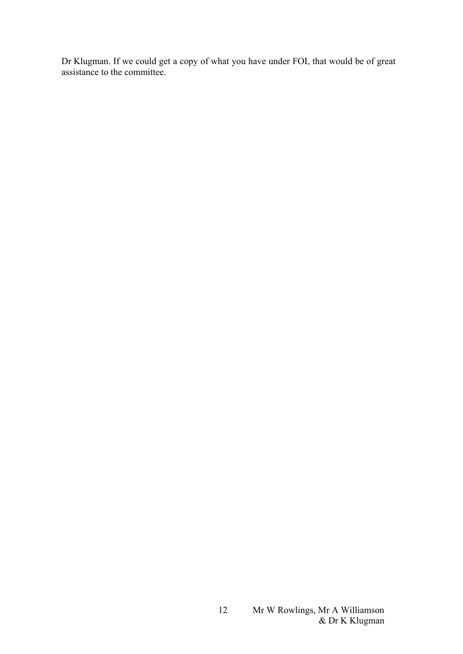Dr Klugman. If we could get a copy of what you have under FOI, that would be of great assistance to the committee.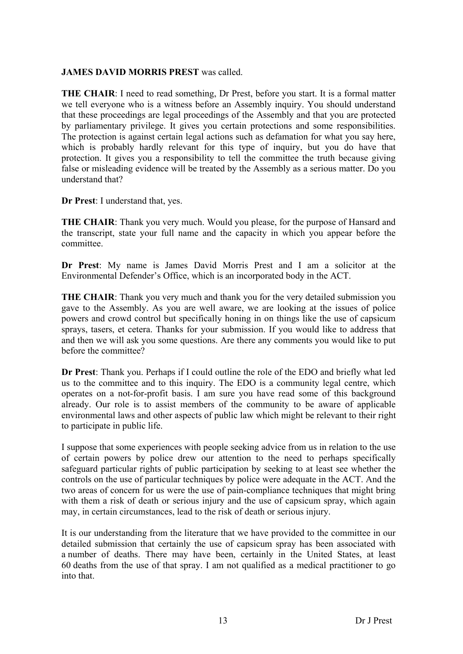## **JAMES DAVID MORRIS PREST** was called.

**THE CHAIR:** I need to read something, Dr Prest, before you start. It is a formal matter we tell everyone who is a witness before an Assembly inquiry. You should understand that these proceedings are legal proceedings of the Assembly and that you are protected by parliamentary privilege. It gives you certain protections and some responsibilities. The protection is against certain legal actions such as defamation for what you say here, which is probably hardly relevant for this type of inquiry, but you do have that protection. It gives you a responsibility to tell the committee the truth because giving false or misleading evidence will be treated by the Assembly as a serious matter. Do you understand that?

**Dr Prest**: I understand that, yes.

**THE CHAIR**: Thank you very much. Would you please, for the purpose of Hansard and the transcript, state your full name and the capacity in which you appear before the committee.

**Dr Prest**: My name is James David Morris Prest and I am a solicitor at the Environmental Defender's Office, which is an incorporated body in the ACT.

**THE CHAIR**: Thank you very much and thank you for the very detailed submission you gave to the Assembly. As you are well aware, we are looking at the issues of police powers and crowd control but specifically honing in on things like the use of capsicum sprays, tasers, et cetera. Thanks for your submission. If you would like to address that and then we will ask you some questions. Are there any comments you would like to put before the committee?

**Dr Prest**: Thank you. Perhaps if I could outline the role of the EDO and briefly what led us to the committee and to this inquiry. The EDO is a community legal centre, which operates on a not-for-profit basis. I am sure you have read some of this background already. Our role is to assist members of the community to be aware of applicable environmental laws and other aspects of public law which might be relevant to their right to participate in public life.

I suppose that some experiences with people seeking advice from us in relation to the use of certain powers by police drew our attention to the need to perhaps specifically safeguard particular rights of public participation by seeking to at least see whether the controls on the use of particular techniques by police were adequate in the ACT. And the two areas of concern for us were the use of pain-compliance techniques that might bring with them a risk of death or serious injury and the use of capsicum spray, which again may, in certain circumstances, lead to the risk of death or serious injury.

It is our understanding from the literature that we have provided to the committee in our detailed submission that certainly the use of capsicum spray has been associated with a number of deaths. There may have been, certainly in the United States, at least 60 deaths from the use of that spray. I am not qualified as a medical practitioner to go into that.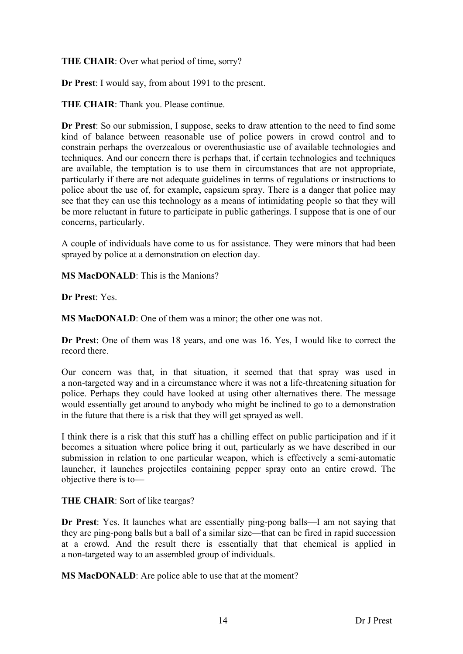## **THE CHAIR**: Over what period of time, sorry?

**Dr Prest**: I would say, from about 1991 to the present.

**THE CHAIR**: Thank you. Please continue.

**Dr Prest**: So our submission, I suppose, seeks to draw attention to the need to find some kind of balance between reasonable use of police powers in crowd control and to constrain perhaps the overzealous or overenthusiastic use of available technologies and techniques. And our concern there is perhaps that, if certain technologies and techniques are available, the temptation is to use them in circumstances that are not appropriate, particularly if there are not adequate guidelines in terms of regulations or instructions to police about the use of, for example, capsicum spray. There is a danger that police may see that they can use this technology as a means of intimidating people so that they will be more reluctant in future to participate in public gatherings. I suppose that is one of our concerns, particularly.

A couple of individuals have come to us for assistance. They were minors that had been sprayed by police at a demonstration on election day.

**MS MacDONALD**: This is the Manions?

**Dr Prest**: Yes.

**MS MacDONALD**: One of them was a minor; the other one was not.

**Dr Prest**: One of them was 18 years, and one was 16. Yes, I would like to correct the record there.

Our concern was that, in that situation, it seemed that that spray was used in a non-targeted way and in a circumstance where it was not a life-threatening situation for police. Perhaps they could have looked at using other alternatives there. The message would essentially get around to anybody who might be inclined to go to a demonstration in the future that there is a risk that they will get sprayed as well.

I think there is a risk that this stuff has a chilling effect on public participation and if it becomes a situation where police bring it out, particularly as we have described in our submission in relation to one particular weapon, which is effectively a semi-automatic launcher, it launches projectiles containing pepper spray onto an entire crowd. The objective there is to—

## **THE CHAIR**: Sort of like teargas?

**Dr Prest**: Yes. It launches what are essentially ping-pong balls—I am not saying that they are ping-pong balls but a ball of a similar size—that can be fired in rapid succession at a crowd. And the result there is essentially that that chemical is applied in a non-targeted way to an assembled group of individuals.

**MS MacDONALD**: Are police able to use that at the moment?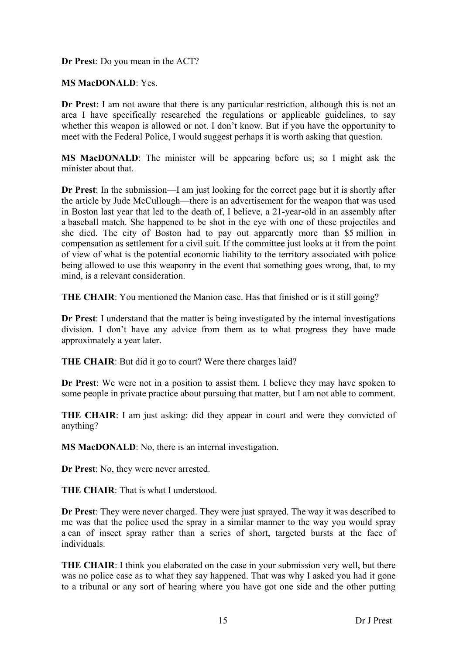**Dr Prest**: Do you mean in the ACT?

**MS MacDONALD**: Yes.

**Dr Prest**: I am not aware that there is any particular restriction, although this is not an area I have specifically researched the regulations or applicable guidelines, to say whether this weapon is allowed or not. I don't know. But if you have the opportunity to meet with the Federal Police, I would suggest perhaps it is worth asking that question.

**MS MacDONALD**: The minister will be appearing before us; so I might ask the minister about that.

**Dr Prest**: In the submission—I am just looking for the correct page but it is shortly after the article by Jude McCullough—there is an advertisement for the weapon that was used in Boston last year that led to the death of, I believe, a 21-year-old in an assembly after a baseball match. She happened to be shot in the eye with one of these projectiles and she died. The city of Boston had to pay out apparently more than \$5 million in compensation as settlement for a civil suit. If the committee just looks at it from the point of view of what is the potential economic liability to the territory associated with police being allowed to use this weaponry in the event that something goes wrong, that, to my mind, is a relevant consideration.

**THE CHAIR**: You mentioned the Manion case. Has that finished or is it still going?

**Dr Prest**: I understand that the matter is being investigated by the internal investigations division. I don't have any advice from them as to what progress they have made approximately a year later.

**THE CHAIR**: But did it go to court? Were there charges laid?

**Dr Prest**: We were not in a position to assist them. I believe they may have spoken to some people in private practice about pursuing that matter, but I am not able to comment.

**THE CHAIR**: I am just asking: did they appear in court and were they convicted of anything?

**MS MacDONALD**: No, there is an internal investigation.

**Dr Prest**: No, they were never arrested.

**THE CHAIR**: That is what I understood.

**Dr Prest**: They were never charged. They were just sprayed. The way it was described to me was that the police used the spray in a similar manner to the way you would spray a can of insect spray rather than a series of short, targeted bursts at the face of individuals.

**THE CHAIR:** I think you elaborated on the case in your submission very well, but there was no police case as to what they say happened. That was why I asked you had it gone to a tribunal or any sort of hearing where you have got one side and the other putting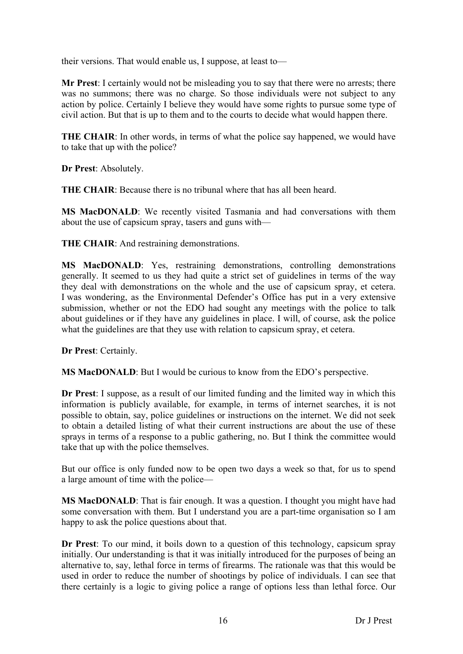their versions. That would enable us, I suppose, at least to—

**Mr Prest**: I certainly would not be misleading you to say that there were no arrests; there was no summons; there was no charge. So those individuals were not subject to any action by police. Certainly I believe they would have some rights to pursue some type of civil action. But that is up to them and to the courts to decide what would happen there.

**THE CHAIR**: In other words, in terms of what the police say happened, we would have to take that up with the police?

**Dr Prest**: Absolutely.

**THE CHAIR**: Because there is no tribunal where that has all been heard.

**MS MacDONALD**: We recently visited Tasmania and had conversations with them about the use of capsicum spray, tasers and guns with—

**THE CHAIR**: And restraining demonstrations.

**MS MacDONALD**: Yes, restraining demonstrations, controlling demonstrations generally. It seemed to us they had quite a strict set of guidelines in terms of the way they deal with demonstrations on the whole and the use of capsicum spray, et cetera. I was wondering, as the Environmental Defender's Office has put in a very extensive submission, whether or not the EDO had sought any meetings with the police to talk about guidelines or if they have any guidelines in place. I will, of course, ask the police what the guidelines are that they use with relation to capsicum spray, et cetera.

**Dr Prest**: Certainly.

**MS MacDONALD**: But I would be curious to know from the EDO's perspective.

**Dr Prest**: I suppose, as a result of our limited funding and the limited way in which this information is publicly available, for example, in terms of internet searches, it is not possible to obtain, say, police guidelines or instructions on the internet. We did not seek to obtain a detailed listing of what their current instructions are about the use of these sprays in terms of a response to a public gathering, no. But I think the committee would take that up with the police themselves.

But our office is only funded now to be open two days a week so that, for us to spend a large amount of time with the police—

**MS MacDONALD**: That is fair enough. It was a question. I thought you might have had some conversation with them. But I understand you are a part-time organisation so I am happy to ask the police questions about that.

**Dr Prest**: To our mind, it boils down to a question of this technology, capsicum spray initially. Our understanding is that it was initially introduced for the purposes of being an alternative to, say, lethal force in terms of firearms. The rationale was that this would be used in order to reduce the number of shootings by police of individuals. I can see that there certainly is a logic to giving police a range of options less than lethal force. Our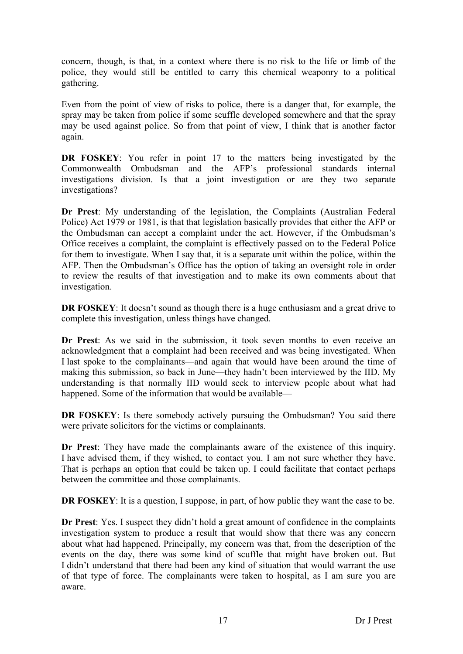concern, though, is that, in a context where there is no risk to the life or limb of the police, they would still be entitled to carry this chemical weaponry to a political gathering.

Even from the point of view of risks to police, there is a danger that, for example, the spray may be taken from police if some scuffle developed somewhere and that the spray may be used against police. So from that point of view, I think that is another factor again.

**DR FOSKEY**: You refer in point 17 to the matters being investigated by the Commonwealth Ombudsman and the AFP's professional standards internal investigations division. Is that a joint investigation or are they two separate investigations?

**Dr Prest**: My understanding of the legislation, the Complaints (Australian Federal Police) Act 1979 or 1981, is that that legislation basically provides that either the AFP or the Ombudsman can accept a complaint under the act. However, if the Ombudsman's Office receives a complaint, the complaint is effectively passed on to the Federal Police for them to investigate. When I say that, it is a separate unit within the police, within the AFP. Then the Ombudsman's Office has the option of taking an oversight role in order to review the results of that investigation and to make its own comments about that investigation.

**DR FOSKEY**: It doesn't sound as though there is a huge enthusiasm and a great drive to complete this investigation, unless things have changed.

**Dr Prest**: As we said in the submission, it took seven months to even receive an acknowledgment that a complaint had been received and was being investigated. When I last spoke to the complainants—and again that would have been around the time of making this submission, so back in June—they hadn't been interviewed by the IID. My understanding is that normally IID would seek to interview people about what had happened. Some of the information that would be available—

**DR FOSKEY**: Is there somebody actively pursuing the Ombudsman? You said there were private solicitors for the victims or complainants.

**Dr Prest**: They have made the complainants aware of the existence of this inquiry. I have advised them, if they wished, to contact you. I am not sure whether they have. That is perhaps an option that could be taken up. I could facilitate that contact perhaps between the committee and those complainants.

**DR FOSKEY:** It is a question, I suppose, in part, of how public they want the case to be.

**Dr Prest**: Yes. I suspect they didn't hold a great amount of confidence in the complaints investigation system to produce a result that would show that there was any concern about what had happened. Principally, my concern was that, from the description of the events on the day, there was some kind of scuffle that might have broken out. But I didn't understand that there had been any kind of situation that would warrant the use of that type of force. The complainants were taken to hospital, as I am sure you are aware.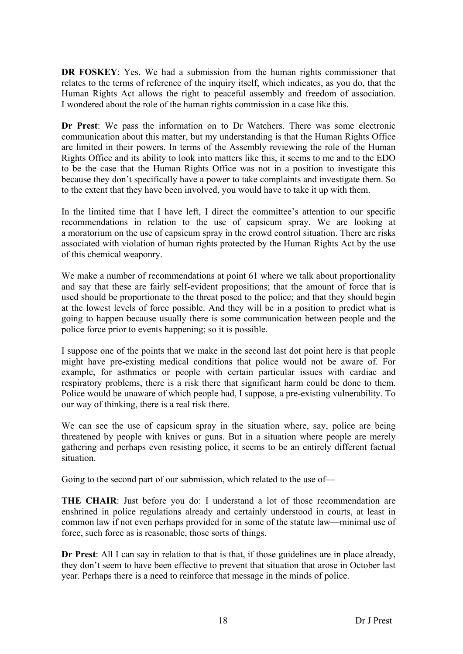**DR FOSKEY**: Yes. We had a submission from the human rights commissioner that relates to the terms of reference of the inquiry itself, which indicates, as you do, that the Human Rights Act allows the right to peaceful assembly and freedom of association. I wondered about the role of the human rights commission in a case like this.

**Dr Prest**: We pass the information on to Dr Watchers. There was some electronic communication about this matter, but my understanding is that the Human Rights Office are limited in their powers. In terms of the Assembly reviewing the role of the Human Rights Office and its ability to look into matters like this, it seems to me and to the EDO to be the case that the Human Rights Office was not in a position to investigate this because they don't specifically have a power to take complaints and investigate them. So to the extent that they have been involved, you would have to take it up with them.

In the limited time that I have left, I direct the committee's attention to our specific recommendations in relation to the use of capsicum spray. We are looking at a moratorium on the use of capsicum spray in the crowd control situation. There are risks associated with violation of human rights protected by the Human Rights Act by the use of this chemical weaponry.

We make a number of recommendations at point 61 where we talk about proportionality and say that these are fairly self-evident propositions; that the amount of force that is used should be proportionate to the threat posed to the police; and that they should begin at the lowest levels of force possible. And they will be in a position to predict what is going to happen because usually there is some communication between people and the police force prior to events happening; so it is possible.

I suppose one of the points that we make in the second last dot point here is that people might have pre-existing medical conditions that police would not be aware of. For example, for asthmatics or people with certain particular issues with cardiac and respiratory problems, there is a risk there that significant harm could be done to them. Police would be unaware of which people had, I suppose, a pre-existing vulnerability. To our way of thinking, there is a real risk there.

We can see the use of capsicum spray in the situation where, say, police are being threatened by people with knives or guns. But in a situation where people are merely gathering and perhaps even resisting police, it seems to be an entirely different factual situation.

Going to the second part of our submission, which related to the use of—

**THE CHAIR**: Just before you do: I understand a lot of those recommendation are enshrined in police regulations already and certainly understood in courts, at least in common law if not even perhaps provided for in some of the statute law—minimal use of force, such force as is reasonable, those sorts of things.

**Dr Prest**: All I can say in relation to that is that, if those guidelines are in place already, they don't seem to have been effective to prevent that situation that arose in October last year. Perhaps there is a need to reinforce that message in the minds of police.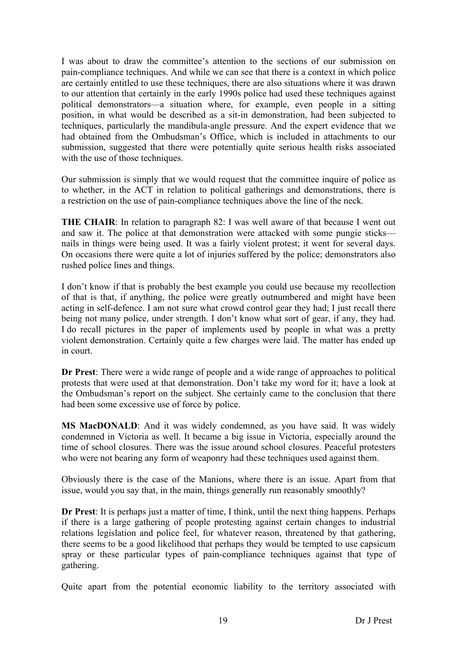I was about to draw the committee's attention to the sections of our submission on pain-compliance techniques. And while we can see that there is a context in which police are certainly entitled to use these techniques, there are also situations where it was drawn to our attention that certainly in the early 1990s police had used these techniques against political demonstrators—a situation where, for example, even people in a sitting position, in what would be described as a sit-in demonstration, had been subjected to techniques, particularly the mandibula-angle pressure. And the expert evidence that we had obtained from the Ombudsman's Office, which is included in attachments to our submission, suggested that there were potentially quite serious health risks associated with the use of those techniques.

Our submission is simply that we would request that the committee inquire of police as to whether, in the ACT in relation to political gatherings and demonstrations, there is a restriction on the use of pain-compliance techniques above the line of the neck.

**THE CHAIR:** In relation to paragraph 82: I was well aware of that because I went out and saw it. The police at that demonstration were attacked with some pungie sticks nails in things were being used. It was a fairly violent protest; it went for several days. On occasions there were quite a lot of injuries suffered by the police; demonstrators also rushed police lines and things.

I don't know if that is probably the best example you could use because my recollection of that is that, if anything, the police were greatly outnumbered and might have been acting in self-defence. I am not sure what crowd control gear they had; I just recall there being not many police, under strength. I don't know what sort of gear, if any, they had. I do recall pictures in the paper of implements used by people in what was a pretty violent demonstration. Certainly quite a few charges were laid. The matter has ended up in court.

**Dr Prest**: There were a wide range of people and a wide range of approaches to political protests that were used at that demonstration. Don't take my word for it; have a look at the Ombudsman's report on the subject. She certainly came to the conclusion that there had been some excessive use of force by police.

**MS MacDONALD**: And it was widely condemned, as you have said. It was widely condemned in Victoria as well. It became a big issue in Victoria, especially around the time of school closures. There was the issue around school closures. Peaceful protesters who were not bearing any form of weaponry had these techniques used against them.

Obviously there is the case of the Manions, where there is an issue. Apart from that issue, would you say that, in the main, things generally run reasonably smoothly?

**Dr Prest**: It is perhaps just a matter of time, I think, until the next thing happens. Perhaps if there is a large gathering of people protesting against certain changes to industrial relations legislation and police feel, for whatever reason, threatened by that gathering, there seems to be a good likelihood that perhaps they would be tempted to use capsicum spray or these particular types of pain-compliance techniques against that type of gathering.

Quite apart from the potential economic liability to the territory associated with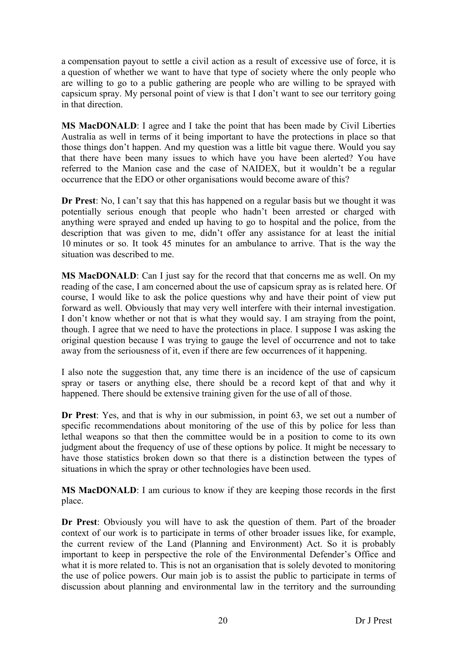a compensation payout to settle a civil action as a result of excessive use of force, it is a question of whether we want to have that type of society where the only people who are willing to go to a public gathering are people who are willing to be sprayed with capsicum spray. My personal point of view is that I don't want to see our territory going in that direction.

**MS MacDONALD**: I agree and I take the point that has been made by Civil Liberties Australia as well in terms of it being important to have the protections in place so that those things don't happen. And my question was a little bit vague there. Would you say that there have been many issues to which have you have been alerted? You have referred to the Manion case and the case of NAIDEX, but it wouldn't be a regular occurrence that the EDO or other organisations would become aware of this?

**Dr Prest**: No, I can't say that this has happened on a regular basis but we thought it was potentially serious enough that people who hadn't been arrested or charged with anything were sprayed and ended up having to go to hospital and the police, from the description that was given to me, didn't offer any assistance for at least the initial 10 minutes or so. It took 45 minutes for an ambulance to arrive. That is the way the situation was described to me.

**MS MacDONALD**: Can I just say for the record that that concerns me as well. On my reading of the case, I am concerned about the use of capsicum spray as is related here. Of course, I would like to ask the police questions why and have their point of view put forward as well. Obviously that may very well interfere with their internal investigation. I don't know whether or not that is what they would say. I am straying from the point, though. I agree that we need to have the protections in place. I suppose I was asking the original question because I was trying to gauge the level of occurrence and not to take away from the seriousness of it, even if there are few occurrences of it happening.

I also note the suggestion that, any time there is an incidence of the use of capsicum spray or tasers or anything else, there should be a record kept of that and why it happened. There should be extensive training given for the use of all of those.

**Dr Prest**: Yes, and that is why in our submission, in point 63, we set out a number of specific recommendations about monitoring of the use of this by police for less than lethal weapons so that then the committee would be in a position to come to its own judgment about the frequency of use of these options by police. It might be necessary to have those statistics broken down so that there is a distinction between the types of situations in which the spray or other technologies have been used.

**MS MacDONALD**: I am curious to know if they are keeping those records in the first place.

**Dr Prest**: Obviously you will have to ask the question of them. Part of the broader context of our work is to participate in terms of other broader issues like, for example, the current review of the Land (Planning and Environment) Act. So it is probably important to keep in perspective the role of the Environmental Defender's Office and what it is more related to. This is not an organisation that is solely devoted to monitoring the use of police powers. Our main job is to assist the public to participate in terms of discussion about planning and environmental law in the territory and the surrounding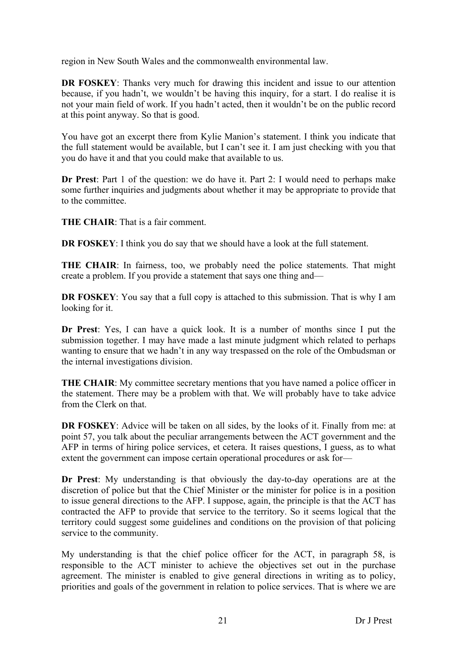region in New South Wales and the commonwealth environmental law.

**DR FOSKEY:** Thanks very much for drawing this incident and issue to our attention because, if you hadn't, we wouldn't be having this inquiry, for a start. I do realise it is not your main field of work. If you hadn't acted, then it wouldn't be on the public record at this point anyway. So that is good.

You have got an excerpt there from Kylie Manion's statement. I think you indicate that the full statement would be available, but I can't see it. I am just checking with you that you do have it and that you could make that available to us.

**Dr Prest**: Part 1 of the question: we do have it. Part 2: I would need to perhaps make some further inquiries and judgments about whether it may be appropriate to provide that to the committee.

**THE CHAIR**: That is a fair comment.

**DR FOSKEY**: I think you do say that we should have a look at the full statement.

**THE CHAIR**: In fairness, too, we probably need the police statements. That might create a problem. If you provide a statement that says one thing and—

**DR FOSKEY**: You say that a full copy is attached to this submission. That is why I am looking for it.

**Dr Prest**: Yes, I can have a quick look. It is a number of months since I put the submission together. I may have made a last minute judgment which related to perhaps wanting to ensure that we hadn't in any way trespassed on the role of the Ombudsman or the internal investigations division.

**THE CHAIR**: My committee secretary mentions that you have named a police officer in the statement. There may be a problem with that. We will probably have to take advice from the Clerk on that.

**DR FOSKEY:** Advice will be taken on all sides, by the looks of it. Finally from me: at point 57, you talk about the peculiar arrangements between the ACT government and the AFP in terms of hiring police services, et cetera. It raises questions, I guess, as to what extent the government can impose certain operational procedures or ask for—

**Dr Prest**: My understanding is that obviously the day-to-day operations are at the discretion of police but that the Chief Minister or the minister for police is in a position to issue general directions to the AFP. I suppose, again, the principle is that the ACT has contracted the AFP to provide that service to the territory. So it seems logical that the territory could suggest some guidelines and conditions on the provision of that policing service to the community.

My understanding is that the chief police officer for the ACT, in paragraph 58, is responsible to the ACT minister to achieve the objectives set out in the purchase agreement. The minister is enabled to give general directions in writing as to policy, priorities and goals of the government in relation to police services. That is where we are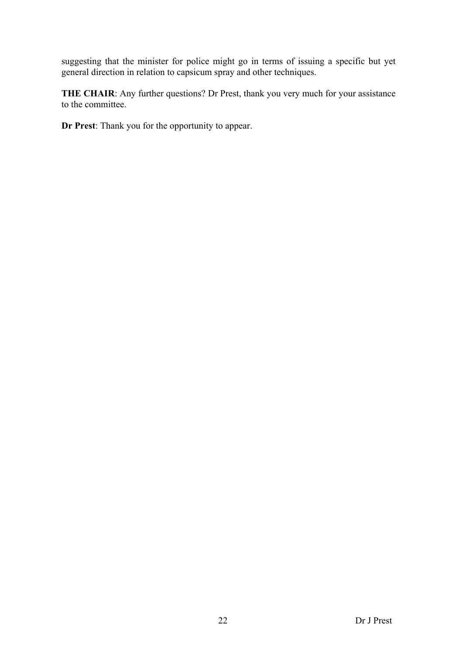suggesting that the minister for police might go in terms of issuing a specific but yet general direction in relation to capsicum spray and other techniques.

**THE CHAIR:** Any further questions? Dr Prest, thank you very much for your assistance to the committee.

**Dr Prest**: Thank you for the opportunity to appear.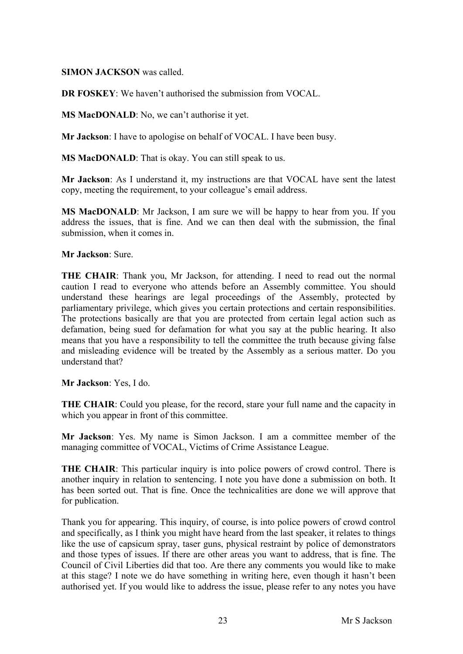#### **SIMON JACKSON** was called.

**DR FOSKEY**: We haven't authorised the submission from VOCAL.

**MS MacDONALD**: No, we can't authorise it yet.

**Mr Jackson**: I have to apologise on behalf of VOCAL. I have been busy.

**MS MacDONALD**: That is okay. You can still speak to us.

**Mr Jackson**: As I understand it, my instructions are that VOCAL have sent the latest copy, meeting the requirement, to your colleague's email address.

**MS MacDONALD**: Mr Jackson, I am sure we will be happy to hear from you. If you address the issues, that is fine. And we can then deal with the submission, the final submission, when it comes in.

**Mr Jackson**: Sure.

**THE CHAIR**: Thank you, Mr Jackson, for attending. I need to read out the normal caution I read to everyone who attends before an Assembly committee. You should understand these hearings are legal proceedings of the Assembly, protected by parliamentary privilege, which gives you certain protections and certain responsibilities. The protections basically are that you are protected from certain legal action such as defamation, being sued for defamation for what you say at the public hearing. It also means that you have a responsibility to tell the committee the truth because giving false and misleading evidence will be treated by the Assembly as a serious matter. Do you understand that?

**Mr Jackson**: Yes, I do.

**THE CHAIR:** Could you please, for the record, stare your full name and the capacity in which you appear in front of this committee.

**Mr Jackson**: Yes. My name is Simon Jackson. I am a committee member of the managing committee of VOCAL, Victims of Crime Assistance League.

**THE CHAIR**: This particular inquiry is into police powers of crowd control. There is another inquiry in relation to sentencing. I note you have done a submission on both. It has been sorted out. That is fine. Once the technicalities are done we will approve that for publication.

Thank you for appearing. This inquiry, of course, is into police powers of crowd control and specifically, as I think you might have heard from the last speaker, it relates to things like the use of capsicum spray, taser guns, physical restraint by police of demonstrators and those types of issues. If there are other areas you want to address, that is fine. The Council of Civil Liberties did that too. Are there any comments you would like to make at this stage? I note we do have something in writing here, even though it hasn't been authorised yet. If you would like to address the issue, please refer to any notes you have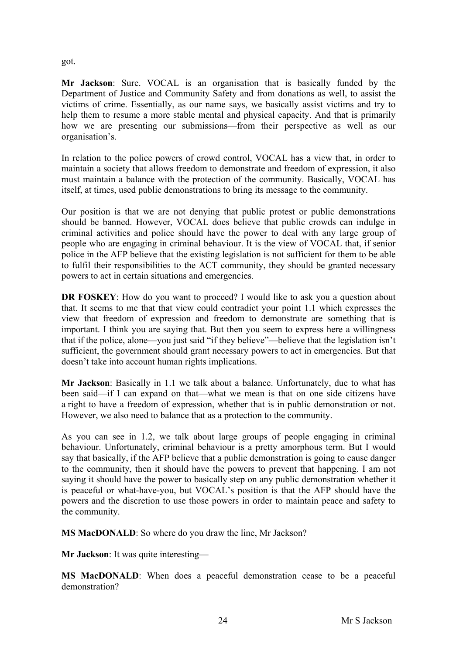got.

**Mr Jackson**: Sure. VOCAL is an organisation that is basically funded by the Department of Justice and Community Safety and from donations as well, to assist the victims of crime. Essentially, as our name says, we basically assist victims and try to help them to resume a more stable mental and physical capacity. And that is primarily how we are presenting our submissions—from their perspective as well as our organisation's.

In relation to the police powers of crowd control, VOCAL has a view that, in order to maintain a society that allows freedom to demonstrate and freedom of expression, it also must maintain a balance with the protection of the community. Basically, VOCAL has itself, at times, used public demonstrations to bring its message to the community.

Our position is that we are not denying that public protest or public demonstrations should be banned. However, VOCAL does believe that public crowds can indulge in criminal activities and police should have the power to deal with any large group of people who are engaging in criminal behaviour. It is the view of VOCAL that, if senior police in the AFP believe that the existing legislation is not sufficient for them to be able to fulfil their responsibilities to the ACT community, they should be granted necessary powers to act in certain situations and emergencies.

**DR FOSKEY**: How do you want to proceed? I would like to ask you a question about that. It seems to me that that view could contradict your point 1.1 which expresses the view that freedom of expression and freedom to demonstrate are something that is important. I think you are saying that. But then you seem to express here a willingness that if the police, alone—you just said "if they believe"—believe that the legislation isn't sufficient, the government should grant necessary powers to act in emergencies. But that doesn't take into account human rights implications.

**Mr Jackson**: Basically in 1.1 we talk about a balance. Unfortunately, due to what has been said—if I can expand on that—what we mean is that on one side citizens have a right to have a freedom of expression, whether that is in public demonstration or not. However, we also need to balance that as a protection to the community.

As you can see in 1.2, we talk about large groups of people engaging in criminal behaviour. Unfortunately, criminal behaviour is a pretty amorphous term. But I would say that basically, if the AFP believe that a public demonstration is going to cause danger to the community, then it should have the powers to prevent that happening. I am not saying it should have the power to basically step on any public demonstration whether it is peaceful or what-have-you, but VOCAL's position is that the AFP should have the powers and the discretion to use those powers in order to maintain peace and safety to the community.

**MS MacDONALD**: So where do you draw the line, Mr Jackson?

**Mr Jackson**: It was quite interesting—

**MS MacDONALD**: When does a peaceful demonstration cease to be a peaceful demonstration?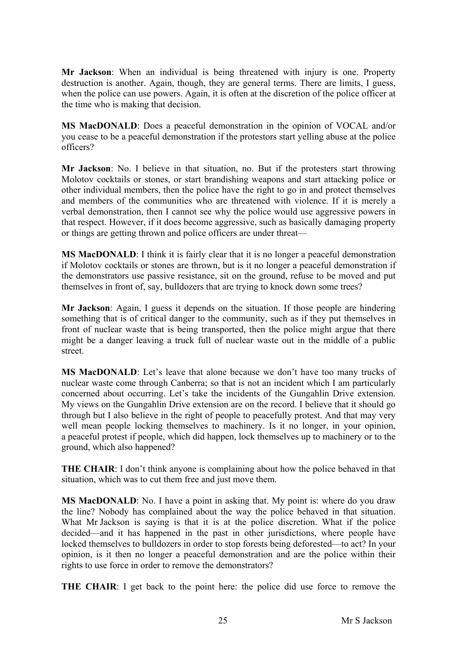**Mr Jackson**: When an individual is being threatened with injury is one. Property destruction is another. Again, though, they are general terms. There are limits, I guess, when the police can use powers. Again, it is often at the discretion of the police officer at the time who is making that decision.

**MS MacDONALD**: Does a peaceful demonstration in the opinion of VOCAL and/or you cease to be a peaceful demonstration if the protestors start yelling abuse at the police officers?

**Mr Jackson**: No. I believe in that situation, no. But if the protesters start throwing Molotov cocktails or stones, or start brandishing weapons and start attacking police or other individual members, then the police have the right to go in and protect themselves and members of the communities who are threatened with violence. If it is merely a verbal demonstration, then I cannot see why the police would use aggressive powers in that respect. However, if it does become aggressive, such as basically damaging property or things are getting thrown and police officers are under threat—

**MS MacDONALD**: I think it is fairly clear that it is no longer a peaceful demonstration if Molotov cocktails or stones are thrown, but is it no longer a peaceful demonstration if the demonstrators use passive resistance, sit on the ground, refuse to be moved and put themselves in front of, say, bulldozers that are trying to knock down some trees?

**Mr Jackson**: Again, I guess it depends on the situation. If those people are hindering something that is of critical danger to the community, such as if they put themselves in front of nuclear waste that is being transported, then the police might argue that there might be a danger leaving a truck full of nuclear waste out in the middle of a public street.

**MS MacDONALD**: Let's leave that alone because we don't have too many trucks of nuclear waste come through Canberra; so that is not an incident which I am particularly concerned about occurring. Let's take the incidents of the Gungahlin Drive extension. My views on the Gungahlin Drive extension are on the record. I believe that it should go through but I also believe in the right of people to peacefully protest. And that may very well mean people locking themselves to machinery. Is it no longer, in your opinion, a peaceful protest if people, which did happen, lock themselves up to machinery or to the ground, which also happened?

**THE CHAIR**: I don't think anyone is complaining about how the police behaved in that situation, which was to cut them free and just move them.

**MS MacDONALD**: No. I have a point in asking that. My point is: where do you draw the line? Nobody has complained about the way the police behaved in that situation. What Mr Jackson is saying is that it is at the police discretion. What if the police decided—and it has happened in the past in other jurisdictions, where people have locked themselves to bulldozers in order to stop forests being deforested—to act? In your opinion, is it then no longer a peaceful demonstration and are the police within their rights to use force in order to remove the demonstrators?

**THE CHAIR**: I get back to the point here: the police did use force to remove the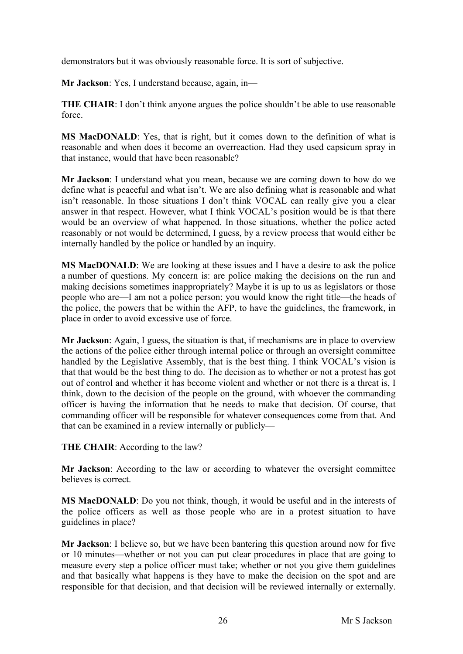demonstrators but it was obviously reasonable force. It is sort of subjective.

**Mr Jackson**: Yes, I understand because, again, in—

**THE CHAIR:** I don't think anyone argues the police shouldn't be able to use reasonable force.

**MS MacDONALD**: Yes, that is right, but it comes down to the definition of what is reasonable and when does it become an overreaction. Had they used capsicum spray in that instance, would that have been reasonable?

**Mr Jackson**: I understand what you mean, because we are coming down to how do we define what is peaceful and what isn't. We are also defining what is reasonable and what isn't reasonable. In those situations I don't think VOCAL can really give you a clear answer in that respect. However, what I think VOCAL's position would be is that there would be an overview of what happened. In those situations, whether the police acted reasonably or not would be determined, I guess, by a review process that would either be internally handled by the police or handled by an inquiry.

**MS MacDONALD**: We are looking at these issues and I have a desire to ask the police a number of questions. My concern is: are police making the decisions on the run and making decisions sometimes inappropriately? Maybe it is up to us as legislators or those people who are—I am not a police person; you would know the right title—the heads of the police, the powers that be within the AFP, to have the guidelines, the framework, in place in order to avoid excessive use of force.

**Mr Jackson**: Again, I guess, the situation is that, if mechanisms are in place to overview the actions of the police either through internal police or through an oversight committee handled by the Legislative Assembly, that is the best thing. I think VOCAL's vision is that that would be the best thing to do. The decision as to whether or not a protest has got out of control and whether it has become violent and whether or not there is a threat is, I think, down to the decision of the people on the ground, with whoever the commanding officer is having the information that he needs to make that decision. Of course, that commanding officer will be responsible for whatever consequences come from that. And that can be examined in a review internally or publicly—

**THE CHAIR**: According to the law?

**Mr Jackson**: According to the law or according to whatever the oversight committee believes is correct.

**MS MacDONALD**: Do you not think, though, it would be useful and in the interests of the police officers as well as those people who are in a protest situation to have guidelines in place?

**Mr Jackson**: I believe so, but we have been bantering this question around now for five or 10 minutes—whether or not you can put clear procedures in place that are going to measure every step a police officer must take; whether or not you give them guidelines and that basically what happens is they have to make the decision on the spot and are responsible for that decision, and that decision will be reviewed internally or externally.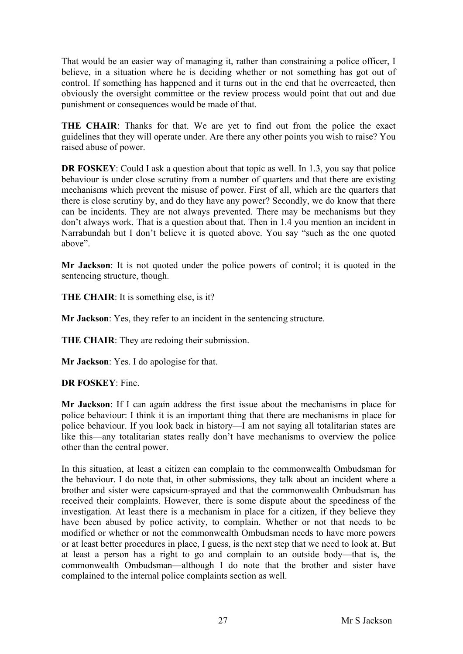That would be an easier way of managing it, rather than constraining a police officer, I believe, in a situation where he is deciding whether or not something has got out of control. If something has happened and it turns out in the end that he overreacted, then obviously the oversight committee or the review process would point that out and due punishment or consequences would be made of that.

**THE CHAIR**: Thanks for that. We are yet to find out from the police the exact guidelines that they will operate under. Are there any other points you wish to raise? You raised abuse of power.

**DR FOSKEY**: Could I ask a question about that topic as well. In 1.3, you say that police behaviour is under close scrutiny from a number of quarters and that there are existing mechanisms which prevent the misuse of power. First of all, which are the quarters that there is close scrutiny by, and do they have any power? Secondly, we do know that there can be incidents. They are not always prevented. There may be mechanisms but they don't always work. That is a question about that. Then in 1.4 you mention an incident in Narrabundah but I don't believe it is quoted above. You say "such as the one quoted above".

**Mr Jackson**: It is not quoted under the police powers of control; it is quoted in the sentencing structure, though.

**THE CHAIR**: It is something else, is it?

**Mr Jackson**: Yes, they refer to an incident in the sentencing structure.

**THE CHAIR**: They are redoing their submission.

**Mr Jackson**: Yes. I do apologise for that.

**DR FOSKEY**: Fine.

**Mr Jackson**: If I can again address the first issue about the mechanisms in place for police behaviour: I think it is an important thing that there are mechanisms in place for police behaviour. If you look back in history—I am not saying all totalitarian states are like this—any totalitarian states really don't have mechanisms to overview the police other than the central power.

In this situation, at least a citizen can complain to the commonwealth Ombudsman for the behaviour. I do note that, in other submissions, they talk about an incident where a brother and sister were capsicum-sprayed and that the commonwealth Ombudsman has received their complaints. However, there is some dispute about the speediness of the investigation. At least there is a mechanism in place for a citizen, if they believe they have been abused by police activity, to complain. Whether or not that needs to be modified or whether or not the commonwealth Ombudsman needs to have more powers or at least better procedures in place, I guess, is the next step that we need to look at. But at least a person has a right to go and complain to an outside body—that is, the commonwealth Ombudsman—although I do note that the brother and sister have complained to the internal police complaints section as well.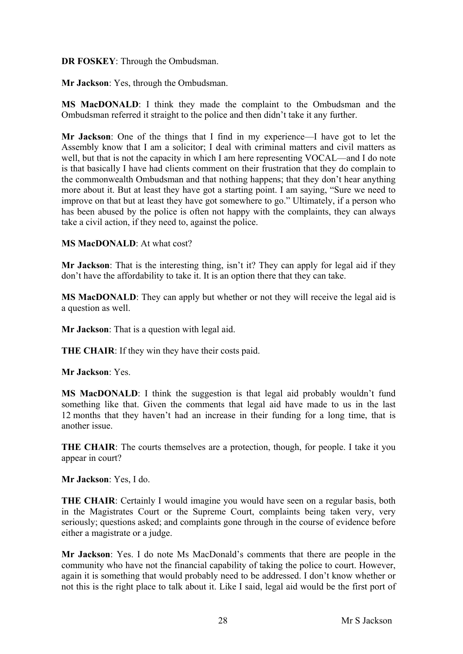## **DR FOSKEY**: Through the Ombudsman.

**Mr Jackson**: Yes, through the Ombudsman.

**MS MacDONALD**: I think they made the complaint to the Ombudsman and the Ombudsman referred it straight to the police and then didn't take it any further.

**Mr Jackson**: One of the things that I find in my experience—I have got to let the Assembly know that I am a solicitor; I deal with criminal matters and civil matters as well, but that is not the capacity in which I am here representing VOCAL—and I do note is that basically I have had clients comment on their frustration that they do complain to the commonwealth Ombudsman and that nothing happens; that they don't hear anything more about it. But at least they have got a starting point. I am saying, "Sure we need to improve on that but at least they have got somewhere to go." Ultimately, if a person who has been abused by the police is often not happy with the complaints, they can always take a civil action, if they need to, against the police.

### **MS MacDONALD**: At what cost?

**Mr Jackson**: That is the interesting thing, isn't it? They can apply for legal aid if they don't have the affordability to take it. It is an option there that they can take.

**MS MacDONALD**: They can apply but whether or not they will receive the legal aid is a question as well.

**Mr Jackson**: That is a question with legal aid.

**THE CHAIR**: If they win they have their costs paid.

**Mr Jackson**: Yes.

**MS MacDONALD**: I think the suggestion is that legal aid probably wouldn't fund something like that. Given the comments that legal aid have made to us in the last 12 months that they haven't had an increase in their funding for a long time, that is another issue.

**THE CHAIR**: The courts themselves are a protection, though, for people. I take it you appear in court?

**Mr Jackson**: Yes, I do.

**THE CHAIR**: Certainly I would imagine you would have seen on a regular basis, both in the Magistrates Court or the Supreme Court, complaints being taken very, very seriously; questions asked; and complaints gone through in the course of evidence before either a magistrate or a judge.

**Mr Jackson**: Yes. I do note Ms MacDonald's comments that there are people in the community who have not the financial capability of taking the police to court. However, again it is something that would probably need to be addressed. I don't know whether or not this is the right place to talk about it. Like I said, legal aid would be the first port of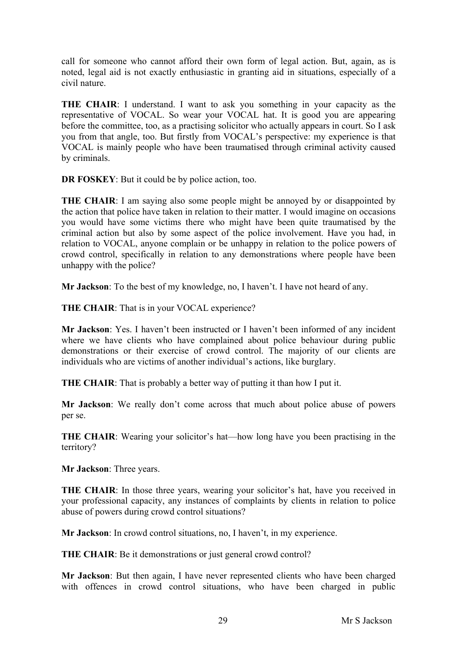call for someone who cannot afford their own form of legal action. But, again, as is noted, legal aid is not exactly enthusiastic in granting aid in situations, especially of a civil nature.

**THE CHAIR**: I understand. I want to ask you something in your capacity as the representative of VOCAL. So wear your VOCAL hat. It is good you are appearing before the committee, too, as a practising solicitor who actually appears in court. So I ask you from that angle, too. But firstly from VOCAL's perspective: my experience is that VOCAL is mainly people who have been traumatised through criminal activity caused by criminals.

**DR FOSKEY**: But it could be by police action, too.

**THE CHAIR:** I am saying also some people might be annoyed by or disappointed by the action that police have taken in relation to their matter. I would imagine on occasions you would have some victims there who might have been quite traumatised by the criminal action but also by some aspect of the police involvement. Have you had, in relation to VOCAL, anyone complain or be unhappy in relation to the police powers of crowd control, specifically in relation to any demonstrations where people have been unhappy with the police?

**Mr Jackson**: To the best of my knowledge, no, I haven't. I have not heard of any.

**THE CHAIR**: That is in your VOCAL experience?

**Mr Jackson**: Yes. I haven't been instructed or I haven't been informed of any incident where we have clients who have complained about police behaviour during public demonstrations or their exercise of crowd control. The majority of our clients are individuals who are victims of another individual's actions, like burglary.

**THE CHAIR:** That is probably a better way of putting it than how I put it.

**Mr Jackson**: We really don't come across that much about police abuse of powers per se.

**THE CHAIR:** Wearing your solicitor's hat—how long have you been practising in the territory?

**Mr Jackson**: Three years.

**THE CHAIR:** In those three years, wearing your solicitor's hat, have you received in your professional capacity, any instances of complaints by clients in relation to police abuse of powers during crowd control situations?

**Mr Jackson**: In crowd control situations, no, I haven't, in my experience.

**THE CHAIR**: Be it demonstrations or just general crowd control?

**Mr Jackson**: But then again, I have never represented clients who have been charged with offences in crowd control situations, who have been charged in public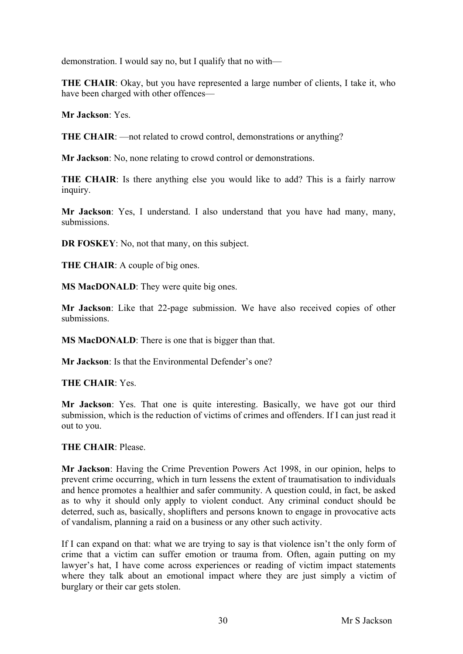demonstration. I would say no, but I qualify that no with—

**THE CHAIR**: Okay, but you have represented a large number of clients, I take it, who have been charged with other offences—

**Mr Jackson**: Yes.

**THE CHAIR**: —not related to crowd control, demonstrations or anything?

**Mr Jackson**: No, none relating to crowd control or demonstrations.

**THE CHAIR:** Is there anything else you would like to add? This is a fairly narrow inquiry.

**Mr Jackson**: Yes, I understand. I also understand that you have had many, many, submissions.

**DR FOSKEY**: No, not that many, on this subject.

**THE CHAIR**: A couple of big ones.

**MS MacDONALD**: They were quite big ones.

**Mr Jackson**: Like that 22-page submission. We have also received copies of other submissions.

**MS MacDONALD**: There is one that is bigger than that.

**Mr Jackson**: Is that the Environmental Defender's one?

**THE CHAIR**: Yes.

**Mr Jackson**: Yes. That one is quite interesting. Basically, we have got our third submission, which is the reduction of victims of crimes and offenders. If I can just read it out to you.

## **THE CHAIR**: Please.

**Mr Jackson**: Having the Crime Prevention Powers Act 1998, in our opinion, helps to prevent crime occurring, which in turn lessens the extent of traumatisation to individuals and hence promotes a healthier and safer community. A question could, in fact, be asked as to why it should only apply to violent conduct. Any criminal conduct should be deterred, such as, basically, shoplifters and persons known to engage in provocative acts of vandalism, planning a raid on a business or any other such activity.

If I can expand on that: what we are trying to say is that violence isn't the only form of crime that a victim can suffer emotion or trauma from. Often, again putting on my lawyer's hat, I have come across experiences or reading of victim impact statements where they talk about an emotional impact where they are just simply a victim of burglary or their car gets stolen.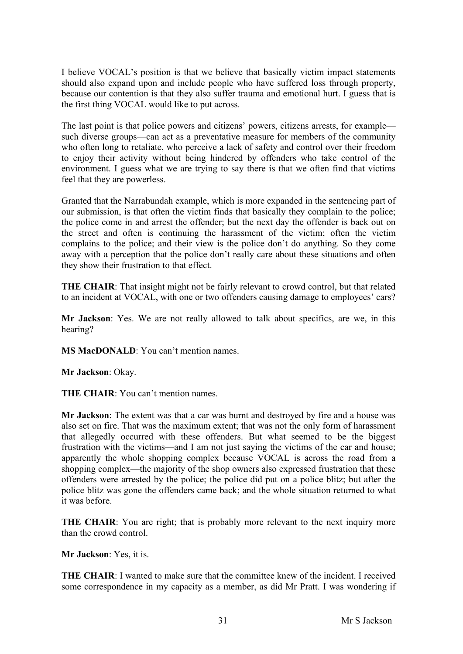I believe VOCAL's position is that we believe that basically victim impact statements should also expand upon and include people who have suffered loss through property, because our contention is that they also suffer trauma and emotional hurt. I guess that is the first thing VOCAL would like to put across.

The last point is that police powers and citizens' powers, citizens arrests, for example such diverse groups—can act as a preventative measure for members of the community who often long to retaliate, who perceive a lack of safety and control over their freedom to enjoy their activity without being hindered by offenders who take control of the environment. I guess what we are trying to say there is that we often find that victims feel that they are powerless.

Granted that the Narrabundah example, which is more expanded in the sentencing part of our submission, is that often the victim finds that basically they complain to the police; the police come in and arrest the offender; but the next day the offender is back out on the street and often is continuing the harassment of the victim; often the victim complains to the police; and their view is the police don't do anything. So they come away with a perception that the police don't really care about these situations and often they show their frustration to that effect.

**THE CHAIR:** That insight might not be fairly relevant to crowd control, but that related to an incident at VOCAL, with one or two offenders causing damage to employees' cars?

**Mr Jackson**: Yes. We are not really allowed to talk about specifics, are we, in this hearing?

**MS MacDONALD**: You can't mention names.

**Mr Jackson**: Okay.

**THE CHAIR**: You can't mention names.

**Mr Jackson**: The extent was that a car was burnt and destroyed by fire and a house was also set on fire. That was the maximum extent; that was not the only form of harassment that allegedly occurred with these offenders. But what seemed to be the biggest frustration with the victims—and I am not just saying the victims of the car and house; apparently the whole shopping complex because VOCAL is across the road from a shopping complex—the majority of the shop owners also expressed frustration that these offenders were arrested by the police; the police did put on a police blitz; but after the police blitz was gone the offenders came back; and the whole situation returned to what it was before.

**THE CHAIR:** You are right; that is probably more relevant to the next inquiry more than the crowd control.

**Mr Jackson**: Yes, it is.

**THE CHAIR**: I wanted to make sure that the committee knew of the incident. I received some correspondence in my capacity as a member, as did Mr Pratt. I was wondering if